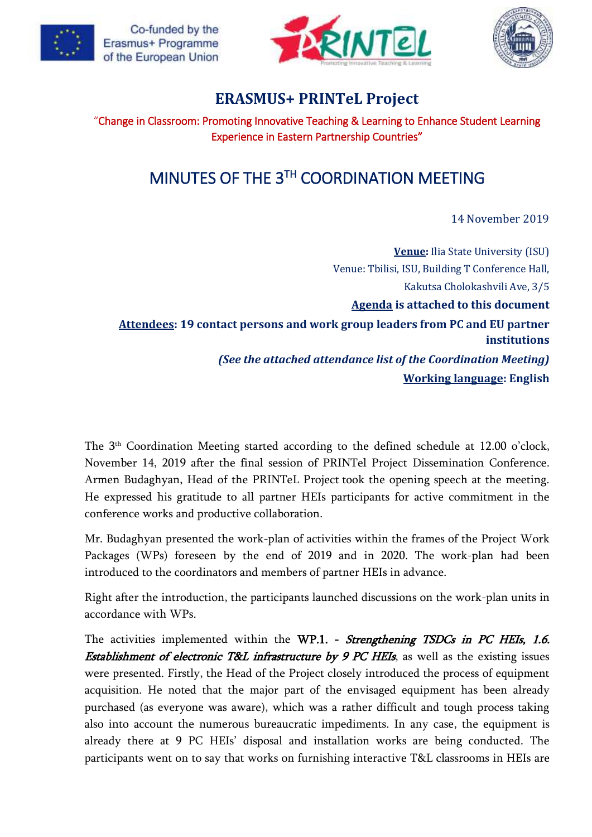





## **ERASMUS+ PRINTeL Project**

"Change in Classroom: Promoting Innovative Teaching & Learning to Enhance Student Learning Experience in Eastern Partnership Countries"

## MINUTES OF THE 3TH COORDINATION MEETING

14 November 2019

**Venue:** Ilia State University (ISU) Venue: Tbilisi, ISU, Building T Conference Hall, Kakutsa Cholokashvili Ave, 3/5 **Agenda is attached to this document Attendees: 19 contact persons and work group leaders from PC and EU partner institutions** *(See the attached attendance list of the Coordination Meeting)* **Working language: English**

The 3<sup>th</sup> Coordination Meeting started according to the defined schedule at 12.00 o'clock, November 14, 2019 after the final session of PRINTel Project Dissemination Conference. Armen Budaghyan, Head of the PRINTeL Project took the opening speech at the meeting. He expressed his gratitude to all partner HEIs participants for active commitment in the conference works and productive collaboration.

Mr. Budaghyan presented the work-plan of activities within the frames of the Project Work Packages (WPs) foreseen by the end of 2019 and in 2020. The work-plan had been introduced to the coordinators and members of partner HEIs in advance.

Right after the introduction, the participants launched discussions on the work-plan units in accordance with WPs.

The activities implemented within the WP.1. - Strengthening TSDCs in PC HEIs, 1.6. **Establishment of electronic T&L infrastructure by 9 PC HEIs, as well as the existing issues** were presented. Firstly, the Head of the Project closely introduced the process of equipment acquisition. He noted that the major part of the envisaged equipment has been already purchased (as everyone was aware), which was a rather difficult and tough process taking also into account the numerous bureaucratic impediments. In any case, the equipment is already there at 9 PC HEIs' disposal and installation works are being conducted. The participants went on to say that works on furnishing interactive T&L classrooms in HEIs are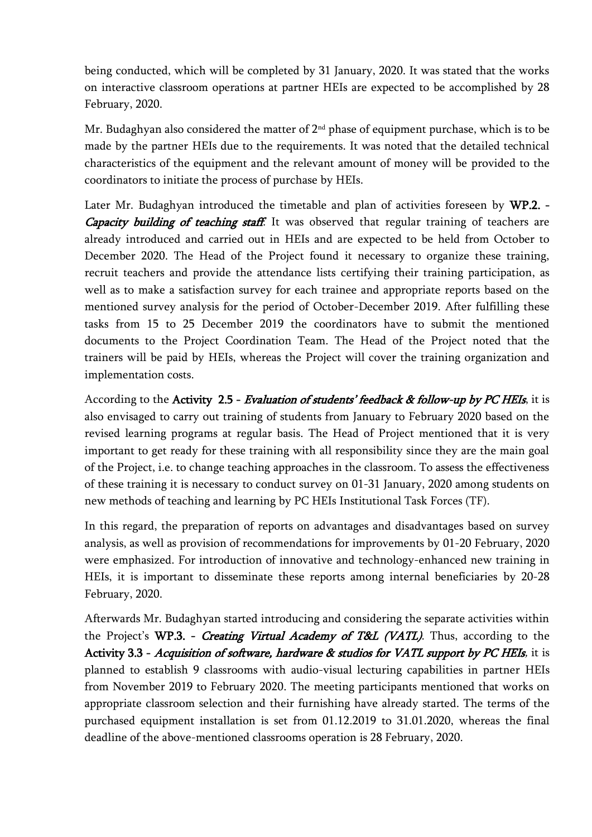being conducted, which will be completed by 31 January, 2020. It was stated that the works on interactive classroom operations at partner HEIs are expected to be accomplished by 28 February, 2020.

Mr. Budaghyan also considered the matter of  $2<sup>nd</sup>$  phase of equipment purchase, which is to be made by the partner HEIs due to the requirements. It was noted that the detailed technical characteristics of the equipment and the relevant amount of money will be provided to the coordinators to initiate the process of purchase by HEIs.

Later Mr. Budaghyan introduced the timetable and plan of activities foreseen by WP.2. - Capacity building of teaching staff. It was observed that regular training of teachers are already introduced and carried out in HEIs and are expected to be held from October to December 2020. The Head of the Project found it necessary to organize these training, recruit teachers and provide the attendance lists certifying their training participation, as well as to make a satisfaction survey for each trainee and appropriate reports based on the mentioned survey analysis for the period of October-December 2019. After fulfilling these tasks from 15 to 25 December 2019 the coordinators have to submit the mentioned documents to the Project Coordination Team. The Head of the Project noted that the trainers will be paid by HEIs, whereas the Project will cover the training organization and implementation costs.

According to the Activity 2.5 - Evaluation of students' feedback & follow-up by PC HEIs, it is also envisaged to carry out training of students from January to February 2020 based on the revised learning programs at regular basis. The Head of Project mentioned that it is very important to get ready for these training with all responsibility since they are the main goal of the Project, i.e. to change teaching approaches in the classroom. To assess the effectiveness of these training it is necessary to conduct survey on 01-31 January, 2020 among students on new methods of teaching and learning by PC HEIs Institutional Task Forces (TF).

In this regard, the preparation of reports on advantages and disadvantages based on survey analysis, as well as provision of recommendations for improvements by 01-20 February, 2020 were emphasized. For introduction of innovative and technology-enhanced new training in HEIs, it is important to disseminate these reports among internal beneficiaries by 20-28 February, 2020.

Afterwards Mr. Budaghyan started introducing and considering the separate activities within the Project's WP.3. - Creating Virtual Academy of T&L (VATL). Thus, according to the Activity 3.3 - Acquisition of software, hardware & studios for VATL support by PC HEIs, it is planned to establish 9 classrooms with audio-visual lecturing capabilities in partner HEIs from November 2019 to February 2020. The meeting participants mentioned that works on appropriate classroom selection and their furnishing have already started. The terms of the purchased equipment installation is set from 01.12.2019 to 31.01.2020, whereas the final deadline of the above-mentioned classrooms operation is 28 February, 2020.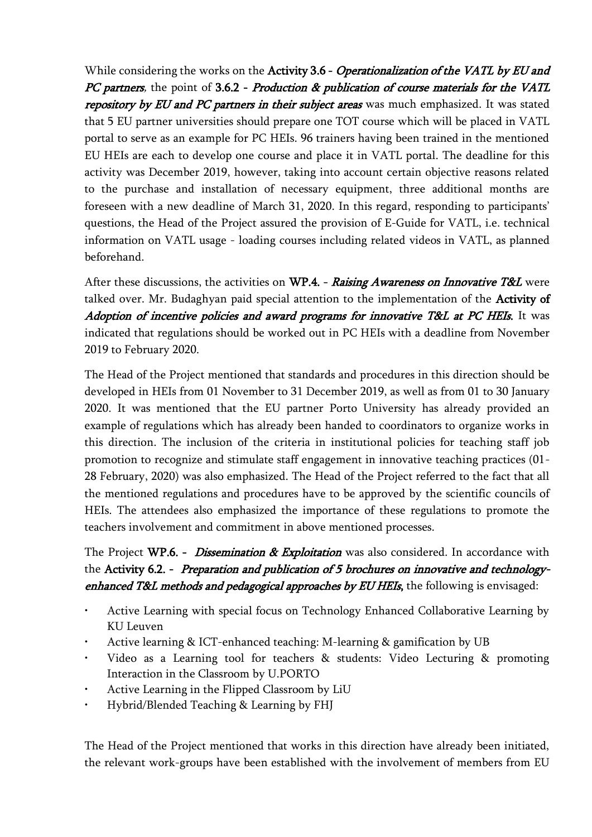While considering the works on the Activity 3.6 - Operationalization of the VATL by EU and PC partners, the point of 3.6.2 - Production & publication of course materials for the VATL repository by EU and PC partners in their subject areas was much emphasized. It was stated that 5 EU partner universities should prepare one TOT course which will be placed in VATL portal to serve as an example for PC HEIs. 96 trainers having been trained in the mentioned EU HEIs are each to develop one course and place it in VATL portal. The deadline for this activity was December 2019, however, taking into account certain objective reasons related to the purchase and installation of necessary equipment, three additional months are foreseen with a new deadline of March 31, 2020. In this regard, responding to participants' questions, the Head of the Project assured the provision of E-Guide for VATL, i.e. technical information on VATL usage - loading courses including related videos in VATL, as planned beforehand.

After these discussions, the activities on WP.4. - Raising Awareness on Innovative T&L were talked over. Mr. Budaghyan paid special attention to the implementation of the Activity of Adoption of incentive policies and award programs for innovative T&L at PC HEIs. It was indicated that regulations should be worked out in PC HEIs with a deadline from November 2019 to February 2020.

The Head of the Project mentioned that standards and procedures in this direction should be developed in HEIs from 01 November to 31 December 2019, as well as from 01 to 30 January 2020. It was mentioned that the EU partner Porto University has already provided an example of regulations which has already been handed to coordinators to organize works in this direction. The inclusion of the criteria in institutional policies for teaching staff job promotion to recognize and stimulate staff engagement in innovative teaching practices (01- 28 February, 2020) was also emphasized. The Head of the Project referred to the fact that all the mentioned regulations and procedures have to be approved by the scientific councils of HEIs. The attendees also emphasized the importance of these regulations to promote the teachers involvement and commitment in above mentioned processes.

## The Project WP.6. - *Dissemination & Exploitation* was also considered. In accordance with the Activity 6.2. - Preparation and publication of 5 brochures on innovative and technologyenhanced T&L methods and pedagogical approaches by EU HEIs, the following is envisaged:

- Active Learning with special focus on Technology Enhanced Collaborative Learning by KU Leuven
- Active learning & ICT-enhanced teaching: M-learning & gamification by UB
- Video as a Learning tool for teachers & students: Video Lecturing & promoting Interaction in the Classroom by U.PORTO
- Active Learning in the Flipped Classroom by LiU
- Hybrid/Blended Teaching & Learning by FHJ

The Head of the Project mentioned that works in this direction have already been initiated, the relevant work-groups have been established with the involvement of members from EU